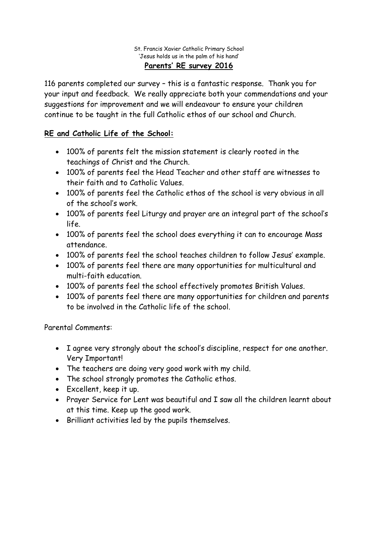## St. Francis Xavier Catholic Primary School 'Jesus holds us in the palm of his hand' **Parents' RE survey 2016**

116 parents completed our survey – this is a fantastic response. Thank you for your input and feedback. We really appreciate both your commendations and your suggestions for improvement and we will endeavour to ensure your children continue to be taught in the full Catholic ethos of our school and Church.

## **RE and Catholic Life of the School:**

- 100% of parents felt the mission statement is clearly rooted in the teachings of Christ and the Church.
- 100% of parents feel the Head Teacher and other staff are witnesses to their faith and to Catholic Values.
- 100% of parents feel the Catholic ethos of the school is very obvious in all of the school's work.
- 100% of parents feel Liturgy and prayer are an integral part of the school's life.
- 100% of parents feel the school does everything it can to encourage Mass attendance.
- 100% of parents feel the school teaches children to follow Jesus' example.
- 100% of parents feel there are many opportunities for multicultural and multi-faith education.
- 100% of parents feel the school effectively promotes British Values.
- 100% of parents feel there are many opportunities for children and parents to be involved in the Catholic life of the school.

Parental Comments:

- I agree very strongly about the school's discipline, respect for one another. Very Important!
- The teachers are doing very good work with my child.
- The school strongly promotes the Catholic ethos.
- Excellent, keep it up.
- Prayer Service for Lent was beautiful and I saw all the children learnt about at this time. Keep up the good work.
- Brilliant activities led by the pupils themselves.